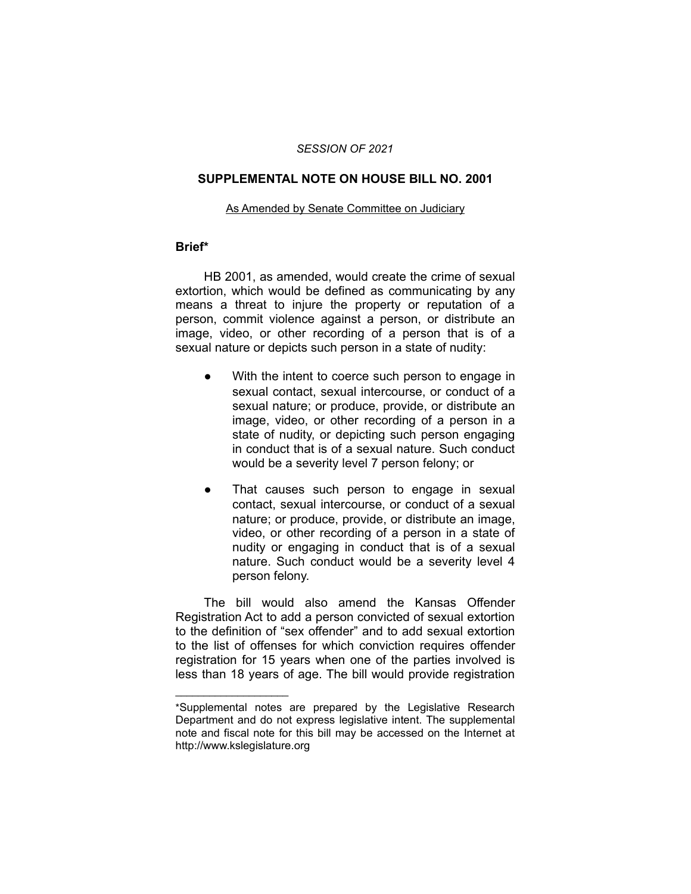#### *SESSION OF 2021*

#### **SUPPLEMENTAL NOTE ON HOUSE BILL NO. 2001**

#### As Amended by Senate Committee on Judiciary

# **Brief\***

HB 2001, as amended, would create the crime of sexual extortion, which would be defined as communicating by any means a threat to injure the property or reputation of a person, commit violence against a person, or distribute an image, video, or other recording of a person that is of a sexual nature or depicts such person in a state of nudity:

- With the intent to coerce such person to engage in sexual contact, sexual intercourse, or conduct of a sexual nature; or produce, provide, or distribute an image, video, or other recording of a person in a state of nudity, or depicting such person engaging in conduct that is of a sexual nature. Such conduct would be a severity level 7 person felony; or
- That causes such person to engage in sexual contact, sexual intercourse, or conduct of a sexual nature; or produce, provide, or distribute an image, video, or other recording of a person in a state of nudity or engaging in conduct that is of a sexual nature. Such conduct would be a severity level 4 person felony.

The bill would also amend the Kansas Offender Registration Act to add a person convicted of sexual extortion to the definition of "sex offender" and to add sexual extortion to the list of offenses for which conviction requires offender registration for 15 years when one of the parties involved is less than 18 years of age. The bill would provide registration

 $\overline{\phantom{a}}$  , where  $\overline{\phantom{a}}$  , where  $\overline{\phantom{a}}$ 

<sup>\*</sup>Supplemental notes are prepared by the Legislative Research Department and do not express legislative intent. The supplemental note and fiscal note for this bill may be accessed on the Internet at http://www.kslegislature.org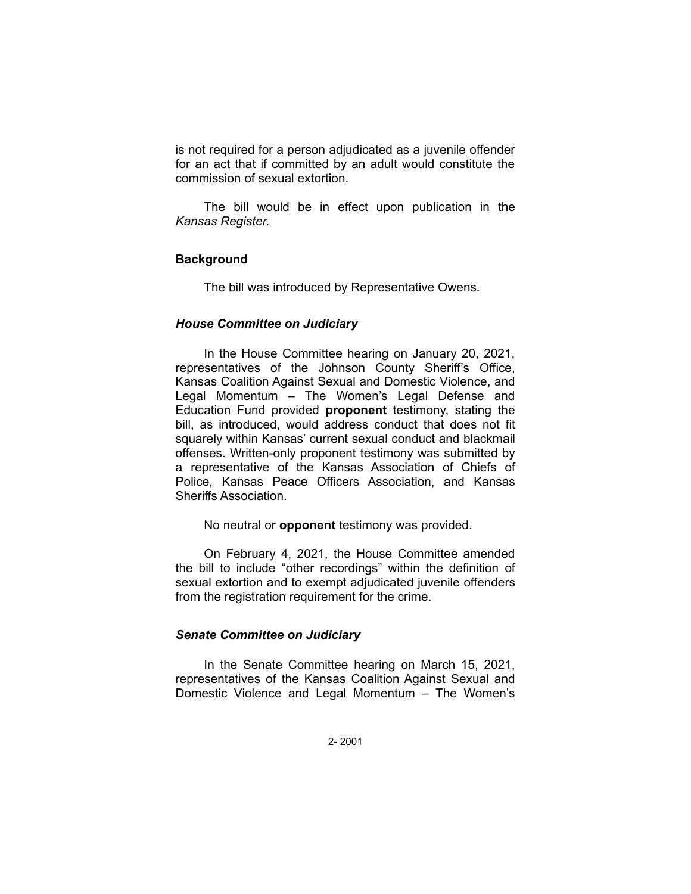is not required for a person adjudicated as a juvenile offender for an act that if committed by an adult would constitute the commission of sexual extortion.

The bill would be in effect upon publication in the *Kansas Register.*

### **Background**

The bill was introduced by Representative Owens.

# *House Committee on Judiciary*

In the House Committee hearing on January 20, 2021, representatives of the Johnson County Sheriff's Office, Kansas Coalition Against Sexual and Domestic Violence, and Legal Momentum – The Women's Legal Defense and Education Fund provided **proponent** testimony, stating the bill, as introduced, would address conduct that does not fit squarely within Kansas' current sexual conduct and blackmail offenses. Written-only proponent testimony was submitted by a representative of the Kansas Association of Chiefs of Police, Kansas Peace Officers Association, and Kansas Sheriffs Association.

No neutral or **opponent** testimony was provided.

On February 4, 2021, the House Committee amended the bill to include "other recordings" within the definition of sexual extortion and to exempt adjudicated juvenile offenders from the registration requirement for the crime.

### *Senate Committee on Judiciary*

In the Senate Committee hearing on March 15, 2021, representatives of the Kansas Coalition Against Sexual and Domestic Violence and Legal Momentum – The Women's